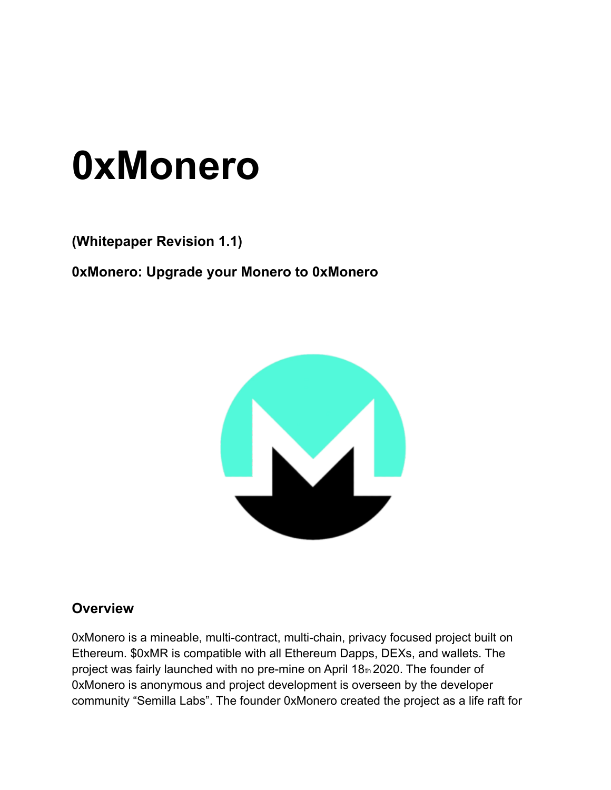# **0xMonero**

**(Whitepaper Revision 1.1)**

**0xMonero: Upgrade your Monero to 0xMonero**



#### **Overview**

0xMonero is a mineable, multi-contract, multi-chain, privacy focused project built on Ethereum. \$0xMR is compatible with all Ethereum Dapps, DEXs, and wallets. The project was fairly launched with no pre-mine on April  $18<sub>th</sub>$  2020. The founder of 0xMonero is anonymous and project development is overseen by the developer community "Semilla Labs". The founder 0xMonero created the project as a life raft for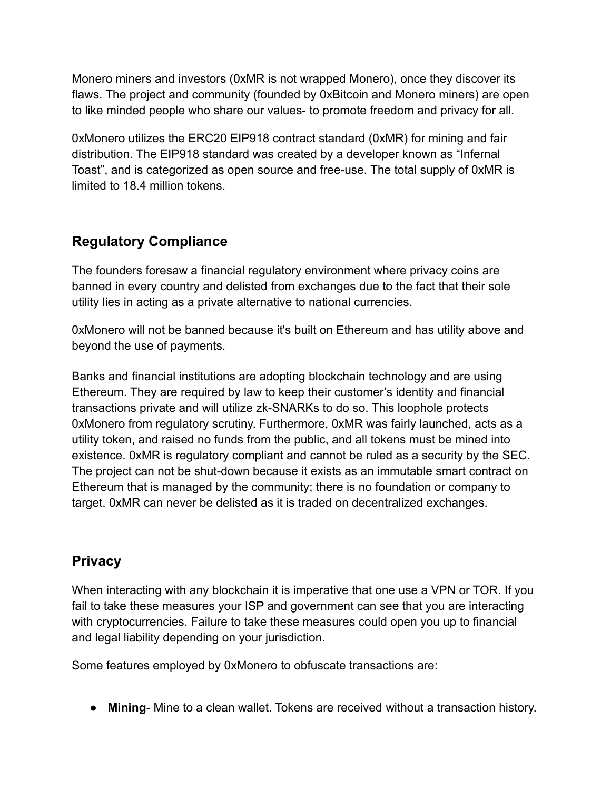Monero miners and investors (0xMR is not wrapped Monero), once they discover its flaws. The project and community (founded by 0xBitcoin and Monero miners) are open to like minded people who share our values- to promote freedom and privacy for all.

0xMonero utilizes the ERC20 EIP918 contract standard (0xMR) for mining and fair distribution. The EIP918 standard was created by a developer known as "Infernal Toast", and is categorized as open source and free-use. The total supply of 0xMR is limited to 18.4 million tokens.

## **Regulatory Compliance**

The founders foresaw a financial regulatory environment where privacy coins are banned in every country and delisted from exchanges due to the fact that their sole utility lies in acting as a private alternative to national currencies.

0xMonero will not be banned because it's built on Ethereum and has utility above and beyond the use of payments.

Banks and financial institutions are adopting blockchain technology and are using Ethereum. They are required by law to keep their customer's identity and financial transactions private and will utilize zk-SNARKs to do so. This loophole protects 0xMonero from regulatory scrutiny. Furthermore, 0xMR was fairly launched, acts as a utility token, and raised no funds from the public, and all tokens must be mined into existence. 0xMR is regulatory compliant and cannot be ruled as a security by the SEC. The project can not be shut-down because it exists as an immutable smart contract on Ethereum that is managed by the community; there is no foundation or company to target. 0xMR can never be delisted as it is traded on decentralized exchanges.

#### **Privacy**

When interacting with any blockchain it is imperative that one use a VPN or TOR. If you fail to take these measures your ISP and government can see that you are interacting with cryptocurrencies. Failure to take these measures could open you up to financial and legal liability depending on your jurisdiction.

Some features employed by 0xMonero to obfuscate transactions are:

● **Mining**- Mine to a clean wallet. Tokens are received without a transaction history.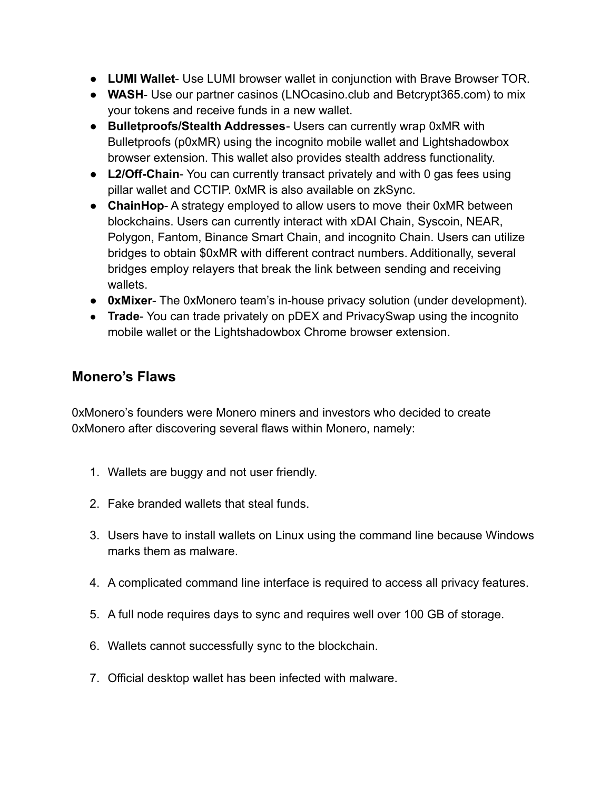- **LUMI Wallet** Use LUMI browser wallet in conjunction with Brave Browser TOR.
- **● WASH** Use our partner casinos (LNOcasino.club and Betcrypt365.com) to mix your tokens and receive funds in a new wallet.
- **Bulletproofs/Stealth Addresses** Users can currently wrap 0xMR with Bulletproofs (p0xMR) using the incognito mobile wallet and Lightshadowbox browser extension. This wallet also provides stealth address functionality.
- **L2/Off-Chain** You can currently transact privately and with 0 gas fees using pillar wallet and CCTIP. 0xMR is also available on zkSync.
- **ChainHop** A strategy employed to allow users to move their 0xMR between blockchains. Users can currently interact with xDAI Chain, Syscoin, NEAR, Polygon, Fantom, Binance Smart Chain, and incognito Chain. Users can utilize bridges to obtain \$0xMR with different contract numbers. Additionally, several bridges employ relayers that break the link between sending and receiving wallets.
- **0xMixer** The 0xMonero team's in-house privacy solution (under development).
- **Trade-** You can trade privately on pDEX and PrivacySwap using the incognito mobile wallet or the Lightshadowbox Chrome browser extension.

## **Monero's Flaws**

0xMonero's founders were Monero miners and investors who decided to create 0xMonero after discovering several flaws within Monero, namely:

- 1. Wallets are buggy and not user friendly.
- 2. Fake branded wallets that steal funds.
- 3. Users have to install wallets on Linux using the command line because Windows marks them as malware.
- 4. A complicated command line interface is required to access all privacy features.
- 5. A full node requires days to sync and requires well over 100 GB of storage.
- 6. Wallets cannot successfully sync to the blockchain.
- 7. Official desktop wallet has been infected with malware.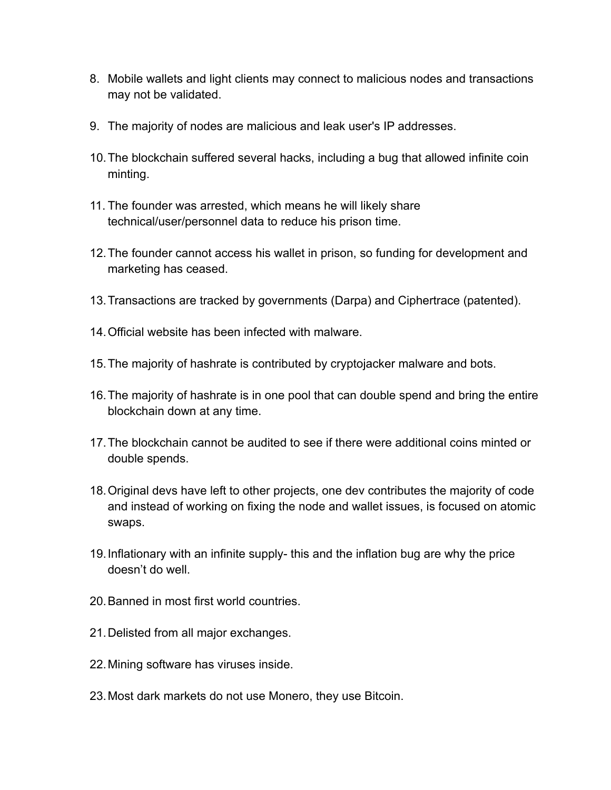- 8. Mobile wallets and light clients may connect to malicious nodes and transactions may not be validated.
- 9. The majority of nodes are malicious and leak user's IP addresses.
- 10.The blockchain suffered several hacks, including a bug that allowed infinite coin minting.
- 11. The founder was arrested, which means he will likely share technical/user/personnel data to reduce his prison time.
- 12.The founder cannot access his wallet in prison, so funding for development and marketing has ceased.
- 13.Transactions are tracked by governments (Darpa) and Ciphertrace (patented).
- 14.Official website has been infected with malware.
- 15.The majority of hashrate is contributed by cryptojacker malware and bots.
- 16.The majority of hashrate is in one pool that can double spend and bring the entire blockchain down at any time.
- 17.The blockchain cannot be audited to see if there were additional coins minted or double spends.
- 18.Original devs have left to other projects, one dev contributes the majority of code and instead of working on fixing the node and wallet issues, is focused on atomic swaps.
- 19.Inflationary with an infinite supply- this and the inflation bug are why the price doesn't do well.
- 20.Banned in most first world countries.
- 21.Delisted from all major exchanges.
- 22.Mining software has viruses inside.
- 23.Most dark markets do not use Monero, they use Bitcoin.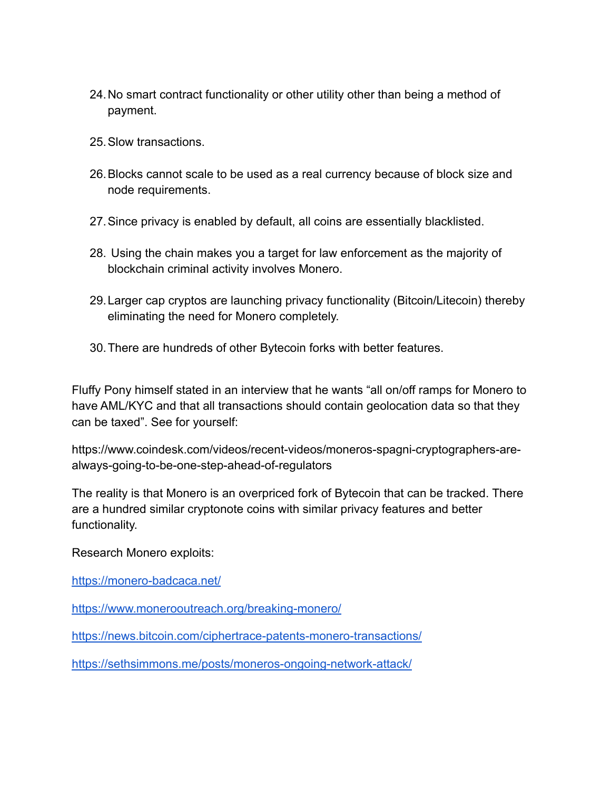- 24.No smart contract functionality or other utility other than being a method of payment.
- 25.Slow transactions.
- 26.Blocks cannot scale to be used as a real currency because of block size and node requirements.
- 27.Since privacy is enabled by default, all coins are essentially blacklisted.
- 28. Using the chain makes you a target for law enforcement as the majority of blockchain criminal activity involves Monero.
- 29.Larger cap cryptos are launching privacy functionality (Bitcoin/Litecoin) thereby eliminating the need for Monero completely.
- 30.There are hundreds of other Bytecoin forks with better features.

Fluffy Pony himself stated in an interview that he wants "all on/off ramps for Monero to have AML/KYC and that all transactions should contain geolocation data so that they can be taxed". See for yourself:

https://www.coindesk.com/videos/recent-videos/moneros-spagni-cryptographers-arealways-going-to-be-one-step-ahead-of-regulators

The reality is that Monero is an overpriced fork of Bytecoin that can be tracked. There are a hundred similar cryptonote coins with similar privacy features and better functionality.

Research Monero exploits:

<https://monero-badcaca.net/>

<https://www.monerooutreach.org/breaking-monero/>

<https://news.bitcoin.com/ciphertrace-patents-monero-transactions/>

<https://sethsimmons.me/posts/moneros-ongoing-network-attack/>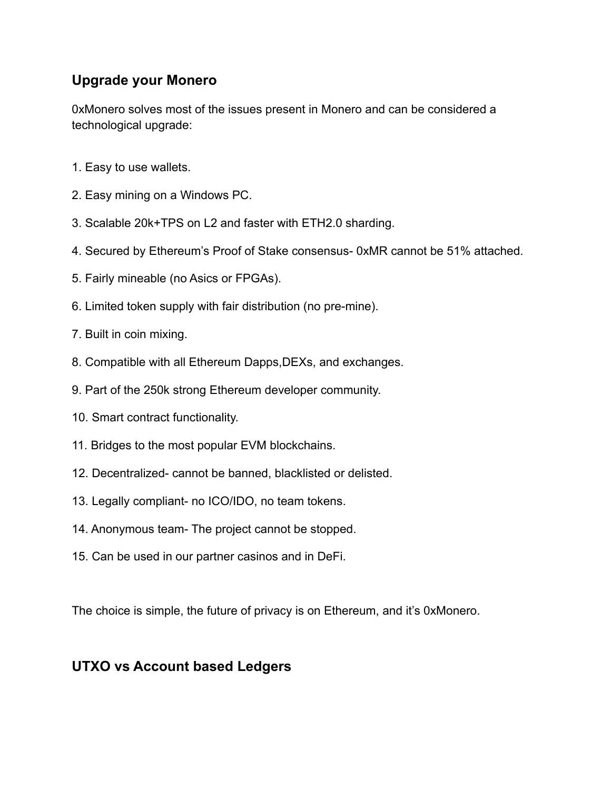## **Upgrade your Monero**

0xMonero solves most of the issues present in Monero and can be considered a technological upgrade:

- 1. Easy to use wallets.
- 2. Easy mining on a Windows PC.
- 3. Scalable 20k+TPS on L2 and faster with ETH2.0 sharding.
- 4. Secured by Ethereum's Proof of Stake consensus- 0xMR cannot be 51% attached.
- 5. Fairly mineable (no Asics or FPGAs).
- 6. Limited token supply with fair distribution (no pre-mine).
- 7. Built in coin mixing.
- 8. Compatible with all Ethereum Dapps,DEXs, and exchanges.
- 9. Part of the 250k strong Ethereum developer community.
- 10. Smart contract functionality.
- 11. Bridges to the most popular EVM blockchains.
- 12. Decentralized- cannot be banned, blacklisted or delisted.
- 13. Legally compliant- no ICO/IDO, no team tokens.
- 14. Anonymous team- The project cannot be stopped.
- 15. Can be used in our partner casinos and in DeFi.

The choice is simple, the future of privacy is on Ethereum, and it's 0xMonero.

#### **UTXO vs Account based Ledgers**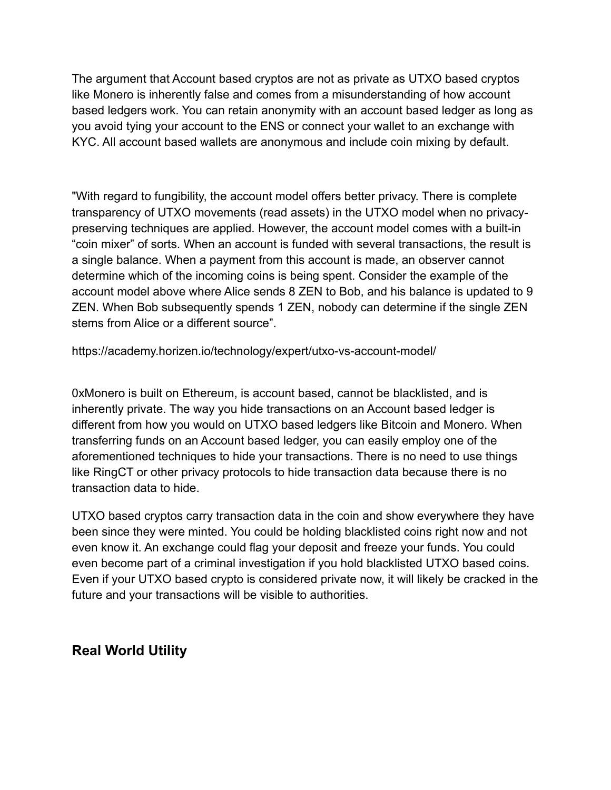The argument that Account based cryptos are not as private as UTXO based cryptos like Monero is inherently false and comes from a misunderstanding of how account based ledgers work. You can retain anonymity with an account based ledger as long as you avoid tying your account to the ENS or connect your wallet to an exchange with KYC. All account based wallets are anonymous and include coin mixing by default.

"With regard to fungibility, the account model offers better privacy. There is complete transparency of UTXO movements (read assets) in the UTXO model when no privacypreserving techniques are applied. However, the account model comes with a built-in "coin mixer" of sorts. When an account is funded with several transactions, the result is a single balance. When a payment from this account is made, an observer cannot determine which of the incoming coins is being spent. Consider the example of the account model above where Alice sends 8 ZEN to Bob, and his balance is updated to 9 ZEN. When Bob subsequently spends 1 ZEN, nobody can determine if the single ZEN stems from Alice or a different source".

https://academy.horizen.io/technology/expert/utxo-vs-account-model/

0xMonero is built on Ethereum, is account based, cannot be blacklisted, and is inherently private. The way you hide transactions on an Account based ledger is different from how you would on UTXO based ledgers like Bitcoin and Monero. When transferring funds on an Account based ledger, you can easily employ one of the aforementioned techniques to hide your transactions. There is no need to use things like RingCT or other privacy protocols to hide transaction data because there is no transaction data to hide.

UTXO based cryptos carry transaction data in the coin and show everywhere they have been since they were minted. You could be holding blacklisted coins right now and not even know it. An exchange could flag your deposit and freeze your funds. You could even become part of a criminal investigation if you hold blacklisted UTXO based coins. Even if your UTXO based crypto is considered private now, it will likely be cracked in the future and your transactions will be visible to authorities.

#### **Real World Utility**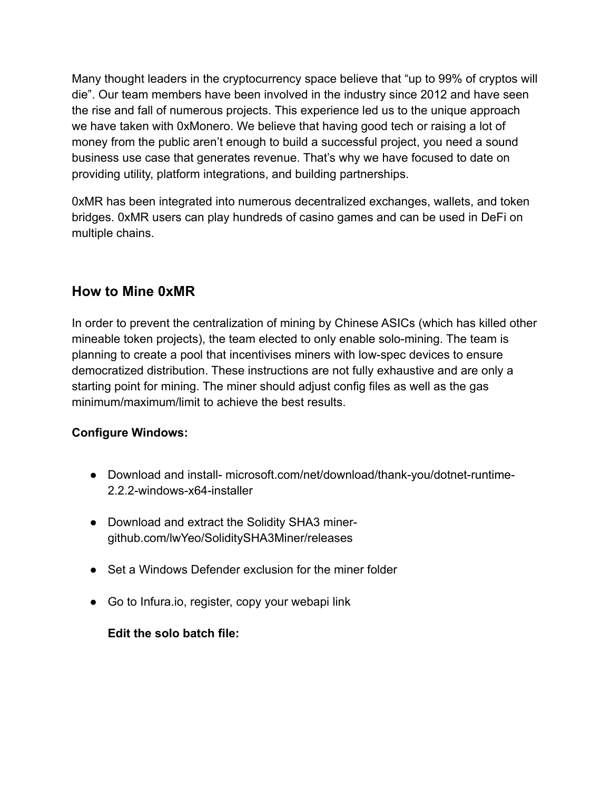Many thought leaders in the cryptocurrency space believe that "up to 99% of cryptos will die". Our team members have been involved in the industry since 2012 and have seen the rise and fall of numerous projects. This experience led us to the unique approach we have taken with 0xMonero. We believe that having good tech or raising a lot of money from the public aren't enough to build a successful project, you need a sound business use case that generates revenue. That's why we have focused to date on providing utility, platform integrations, and building partnerships.

0xMR has been integrated into numerous decentralized exchanges, wallets, and token bridges. 0xMR users can play hundreds of casino games and can be used in DeFi on multiple chains.

## **How to Mine 0xMR**

In order to prevent the centralization of mining by Chinese ASICs (which has killed other mineable token projects), the team elected to only enable solo-mining. The team is planning to create a pool that incentivises miners with low-spec devices to ensure democratized distribution. These instructions are not fully exhaustive and are only a starting point for mining. The miner should adjust config files as well as the gas minimum/maximum/limit to achieve the best results.

#### **Configure Windows:**

- Download and install- microsoft.com/net/download/thank-you/dotnet-runtime-2.2.2-windows-x64-installer
- Download and extract the Solidity SHA3 minergithub.com/lwYeo/SoliditySHA3Miner/releases
- Set a Windows Defender exclusion for the miner folder
- Go to Infura.io, register, copy your webapi link

#### **Edit the solo batch file:**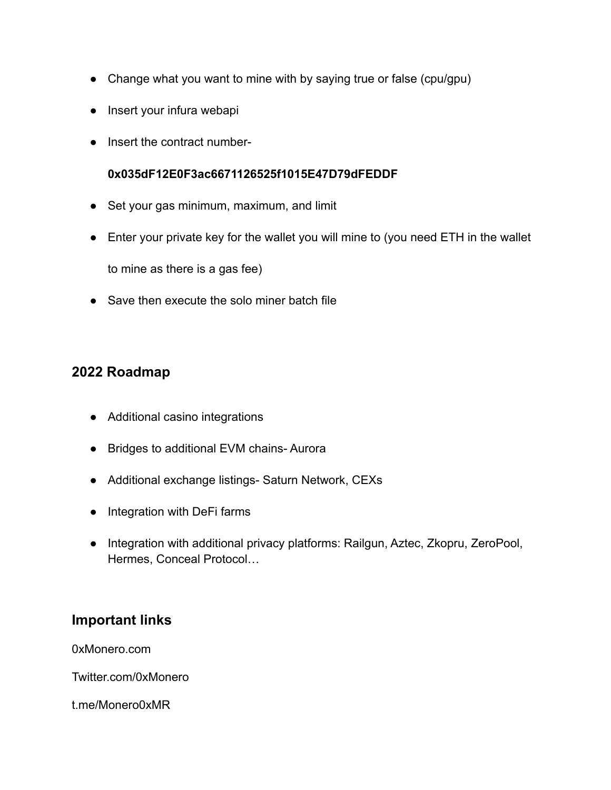- Change what you want to mine with by saying true or false (cpu/gpu)
- Insert your infura webapi
- Insert the contract number-

#### **0x035dF12E0F3ac6671126525f1015E47D79dFEDDF**

- Set your gas minimum, maximum, and limit
- Enter your private key for the wallet you will mine to (you need ETH in the wallet

to mine as there is a gas fee)

● Save then execute the solo miner batch file

## **2022 Roadmap**

- Additional casino integrations
- Bridges to additional EVM chains- Aurora
- Additional exchange listings- Saturn Network, CEXs
- Integration with DeFi farms
- Integration with additional privacy platforms: Railgun, Aztec, Zkopru, ZeroPool, Hermes, Conceal Protocol…

#### **Important links**

0xMonero.com

Twitter.com/0xMonero

t.me/Monero0xMR